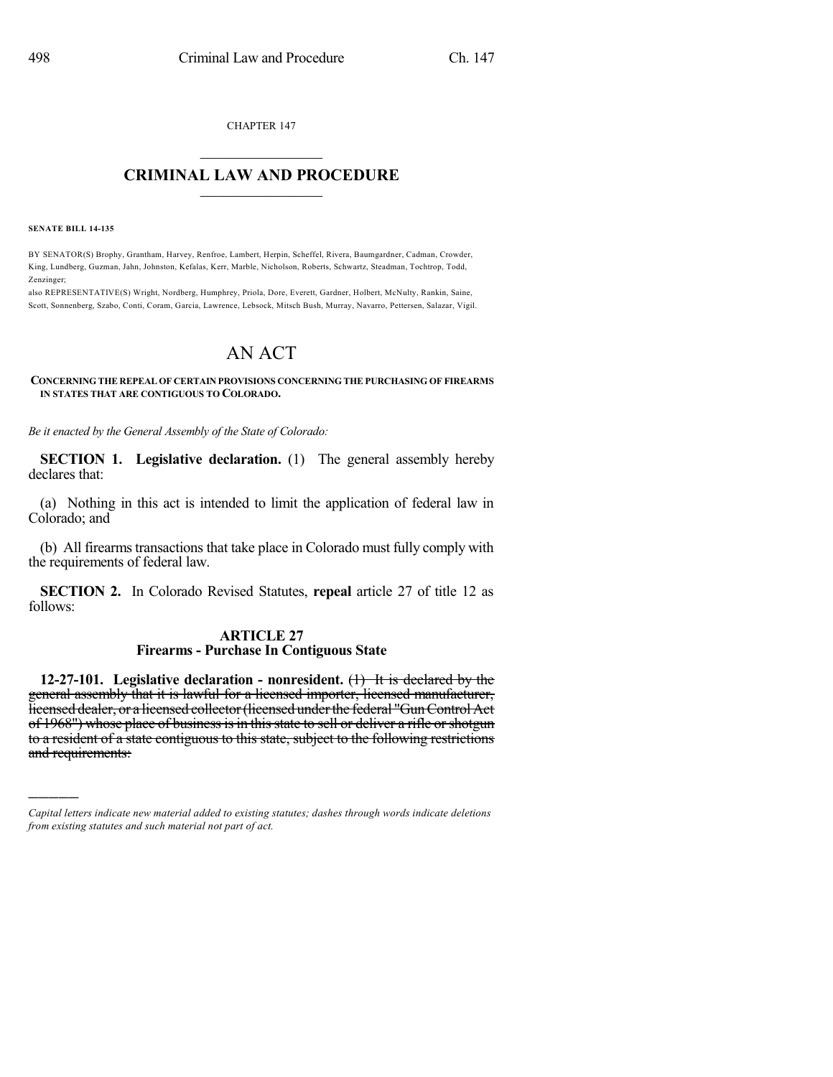CHAPTER 147  $\mathcal{L}_\text{max}$  . The set of the set of the set of the set of the set of the set of the set of the set of the set of the set of the set of the set of the set of the set of the set of the set of the set of the set of the set

## **CRIMINAL LAW AND PROCEDURE**  $\frac{1}{2}$  ,  $\frac{1}{2}$  ,  $\frac{1}{2}$  ,  $\frac{1}{2}$  ,  $\frac{1}{2}$  ,  $\frac{1}{2}$  ,  $\frac{1}{2}$

**SENATE BILL 14-135**

)))))

BY SENATOR(S) Brophy, Grantham, Harvey, Renfroe, Lambert, Herpin, Scheffel, Rivera, Baumgardner, Cadman, Crowder, King, Lundberg, Guzman, Jahn, Johnston, Kefalas, Kerr, Marble, Nicholson, Roberts, Schwartz, Steadman, Tochtrop, Todd, Zenzinger;

also REPRESENTATIVE(S) Wright, Nordberg, Humphrey, Priola, Dore, Everett, Gardner, Holbert, McNulty, Rankin, Saine, Scott, Sonnenberg, Szabo, Conti, Coram, Garcia, Lawrence, Lebsock, Mitsch Bush, Murray, Navarro, Pettersen, Salazar, Vigil.

## AN ACT

## **CONCERNING THE REPEAL OF CERTAIN PROVISIONS CONCERNING THE PURCHASING OF FIREARMS IN STATES THAT ARE CONTIGUOUS TO COLORADO.**

*Be it enacted by the General Assembly of the State of Colorado:*

**SECTION 1. Legislative declaration.** (1) The general assembly hereby declares that:

(a) Nothing in this act is intended to limit the application of federal law in Colorado; and

(b) All firearms transactions that take place in Colorado must fully comply with the requirements of federal law.

**SECTION 2.** In Colorado Revised Statutes, **repeal** article 27 of title 12 as follows:

## **ARTICLE 27 Firearms - Purchase In Contiguous State**

**12-27-101. Legislative declaration - nonresident.** (1) It is declared by the general assembly that it is lawful for a licensed importer, licensed manufacturer, licensed dealer, or a licensed collector (licensed under the federal "Gun Control Act of 1968") whose place of business is in this state to sell or deliver a rifle or shotgun to a resident of a state contiguous to this state, subject to the following restrictions and requirements:

*Capital letters indicate new material added to existing statutes; dashes through words indicate deletions from existing statutes and such material not part of act.*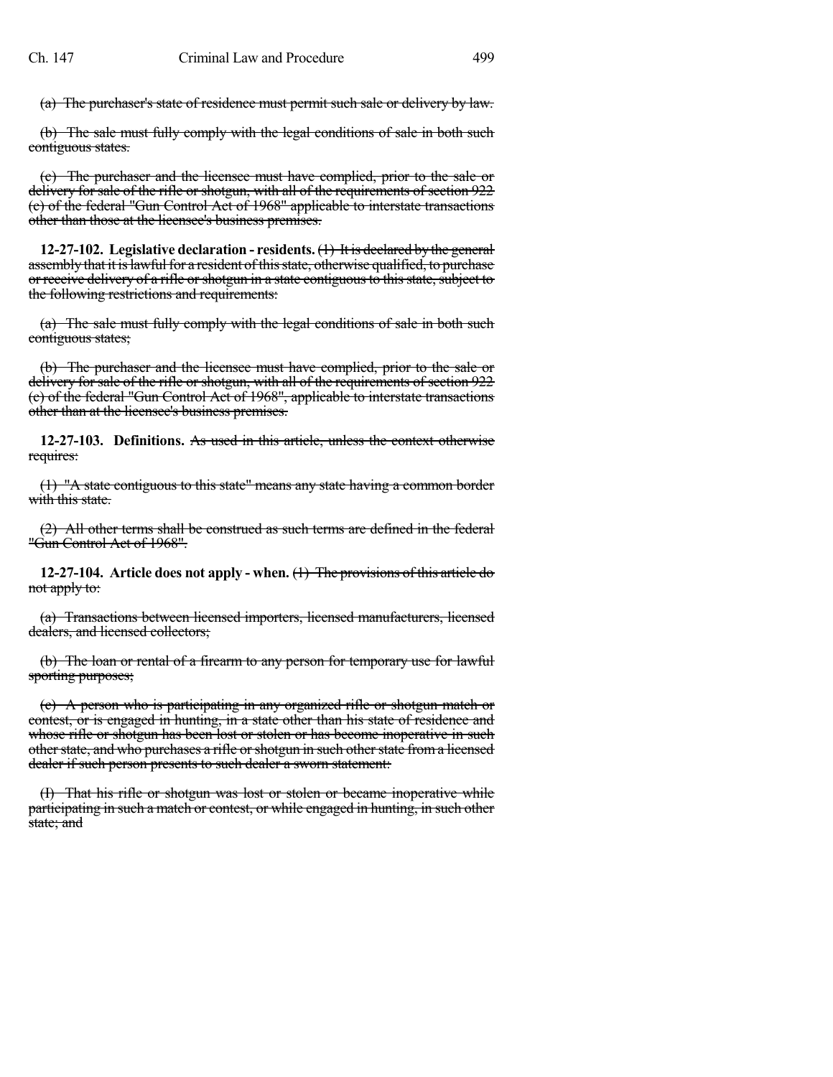(a) The purchaser's state of residence must permit such sale or delivery by law.

(b) The sale must fully comply with the legal conditions of sale in both such contiguous states.

(c) The purchaser and the licensee must have complied, prior to the sale or delivery for sale of the rifle or shotgun, with all of the requirements of section 922 (c) of the federal "Gun Control Act of 1968" applicable to interstate transactions other than those at the licensee's business premises.

**12-27-102. Legislative declaration - residents.** (1) It is declared by the general assembly that it is lawful for a resident of this state, otherwise qualified, to purchase or receive delivery of a rifle or shotgun in a state contiguous to this state, subject to the following restrictions and requirements:

(a) The sale must fully comply with the legal conditions of sale in both such contiguous states;

(b) The purchaser and the licensee must have complied, prior to the sale or delivery for sale of the rifle or shotgun, with all of the requirements of section 922 (c) of the federal "Gun Control Act of 1968", applicable to interstate transactions other than at the licensee's business premises.

**12-27-103. Definitions.** As used in this article, unless the context otherwise requires:

(1) "A state contiguous to this state" means any state having a common border with this state.

(2) All other terms shall be construed as such terms are defined in the federal "Gun Control Act of 1968".

**12-27-104. Article does not apply - when.** (1) The provisions of this article do not apply to:

(a) Transactions between licensed importers, licensed manufacturers, licensed dealers, and licensed collectors;

(b) The loan or rental of a firearm to any person for temporary use for lawful sporting purposes;

(c) A person who is participating in any organized rifle or shotgun match or contest, or is engaged in hunting, in a state other than his state of residence and whose rifle or shotgun has been lost or stolen or has become inoperative in such other state, and who purchases a rifle or shotgun in such other state from a licensed dealer if such person presents to such dealer a sworn statement:

(I) That his rifle or shotgun was lost or stolen or became inoperative while participating in such a match or contest, or while engaged in hunting, in such other state; and